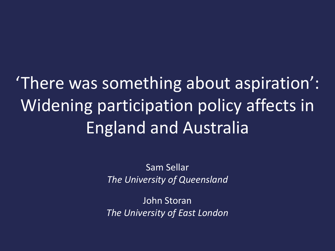'There was something about aspiration': Widening participation policy affects in England and Australia

> Sam Sellar *The University of Queensland*

> John Storan *The University of East London*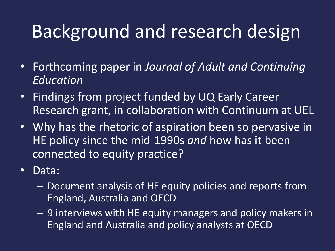## Background and research design

- Forthcoming paper in *Journal of Adult and Continuing Education*
- Findings from project funded by UQ Early Career Research grant, in collaboration with Continuum at UEL
- Why has the rhetoric of aspiration been so pervasive in HE policy since the mid-1990s *and* how has it been connected to equity practice?
- Data:
	- Document analysis of HE equity policies and reports from England, Australia and OECD
	- 9 interviews with HE equity managers and policy makers in England and Australia and policy analysts at OECD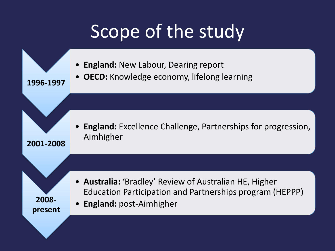## Scope of the study

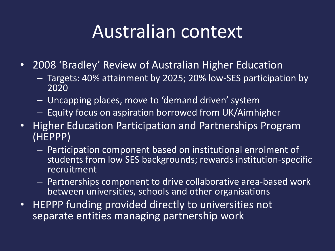### Australian context

- 2008 'Bradley' Review of Australian Higher Education
	- Targets: 40% attainment by 2025; 20% low-SES participation by 2020
	- Uncapping places, move to 'demand driven' system
	- Equity focus on aspiration borrowed from UK/Aimhigher
- Higher Education Participation and Partnerships Program (HEPPP)
	- Participation component based on institutional enrolment of students from low SES backgrounds; rewards institution-specific recruitment
	- Partnerships component to drive collaborative area-based work between universities, schools and other organisations
- HEPPP funding provided directly to universities not separate entities managing partnership work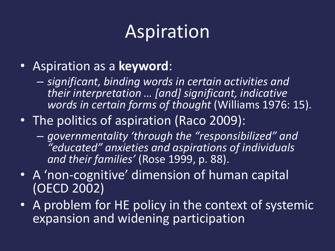## Aspiration

- Aspiration as a **keyword**:
	- *significant, binding words in certain activities and their interpretation … [and] significant, indicative words in certain forms of thought* (Williams 1976: 15).
- The politics of aspiration (Raco 2009):
	- *governmentality 'through the "responsibilized" and "educated" anxieties and aspirations of individuals and their families'* (Rose 1999, p. 88).
- A 'non-cognitive' dimension of human capital (OECD 2002)
- A problem for HE policy in the context of systemic expansion and widening participation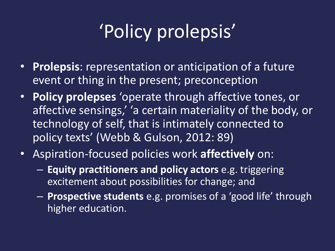# 'Policy prolepsis'

- **Prolepsis**: representation or anticipation of a future event or thing in the present; preconception
- **Policy prolepses** 'operate through affective tones, or affective sensings,' 'a certain materiality of the body, or technology of self, that is intimately connected to policy texts' (Webb & Gulson, 2012: 89)
- Aspiration-focused policies work **affectively** on:
	- **Equity practitioners and policy actors** e.g. triggering excitement about possibilities for change; and
	- **Prospective students** e.g. promises of a 'good life' through higher education.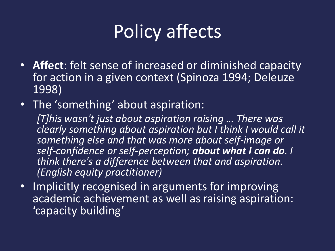# Policy affects

- **Affect**: felt sense of increased or diminished capacity for action in a given context (Spinoza 1994; Deleuze 1998)
- The 'something' about aspiration:

*[T]his wasn't just about aspiration raising … There was clearly something about aspiration but I think I would call it something else and that was more about self-image or self-confidence or self-perception; about what I can do. I think there's a difference between that and aspiration. (English equity practitioner)*

• Implicitly recognised in arguments for improving academic achievement as well as raising aspiration: 'capacity building'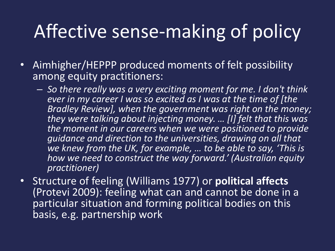# Affective sense-making of policy

- Aimhigher/HEPPP produced moments of felt possibility among equity practitioners:
	- *So there really was a very exciting moment for me. I don't think ever in my career I was so excited as I was at the time of [the Bradley Review], when the government was right on the money; they were talking about injecting money. … [I] felt that this was the moment in our careers when we were positioned to provide guidance and direction to the universities, drawing on all that we knew from the UK, for example, … to be able to say, 'This is how we need to construct the way forward.' (Australian equity practitioner)*
- Structure of feeling (Williams 1977) or **political affects**  (Protevi 2009): feeling what can and cannot be done in a particular situation and forming political bodies on this basis, e.g. partnership work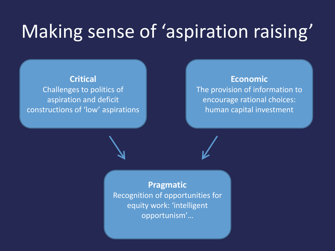### Making sense of 'aspiration raising'

#### **Critical** Challenges to politics of aspiration and deficit constructions of 'low' aspirations

#### **Economic** The provision of information to encourage rational choices: human capital investment

**Pragmatic** Recognition of opportunities for equity work: 'intelligent opportunism'…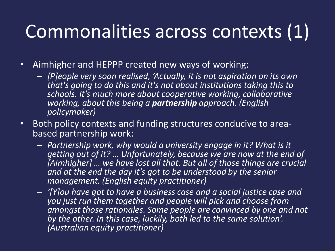# Commonalities across contexts (1)

- Aimhigher and HEPPP created new ways of working:
	- *[P]eople very soon realised, 'Actually, it is not aspiration on its own that's going to do this and it's not about institutions taking this to schools. It's much more about cooperative working, collaborative working, about this being a partnership approach. (English policymaker)*
- Both policy contexts and funding structures conducive to areabased partnership work:
	- *Partnership work, why would a university engage in it? What is it getting out of it? … Unfortunately, because we are now at the end of [Aimhigher] … we have lost all that. But all of those things are crucial and at the end the day it's got to be understood by the senior management. (English equity practitioner)*
	- *'[Y]ou have got to have a business case and a social justice case and you just run them together and people will pick and choose from amongst those rationales. Some people are convinced by one and not by the other. In this case, luckily, both led to the same solution'. (Australian equity practitioner)*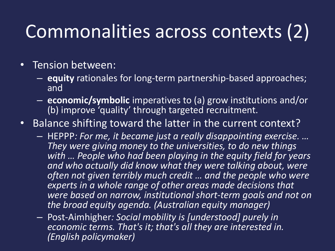# Commonalities across contexts (2)

- Tension between:
	- **equity** rationales for long-term partnership-based approaches; and
	- **economic/symbolic** imperatives to (a) grow institutions and/or (b) improve 'quality' through targeted recruitment.
- Balance shifting toward the latter in the current context?
	- HEPPP*: For me, it became just a really disappointing exercise. … They were giving money to the universities, to do new things with … People who had been playing in the equity field for years and who actually did know what they were talking about, were often not given terribly much credit … and the people who were experts in a whole range of other areas made decisions that were based on narrow, institutional short-term goals and not on the broad equity agenda. (Australian equity manager)*
	- Post-Aimhigher*: Social mobility is [understood] purely in economic terms. That's it; that's all they are interested in. (English policymaker)*